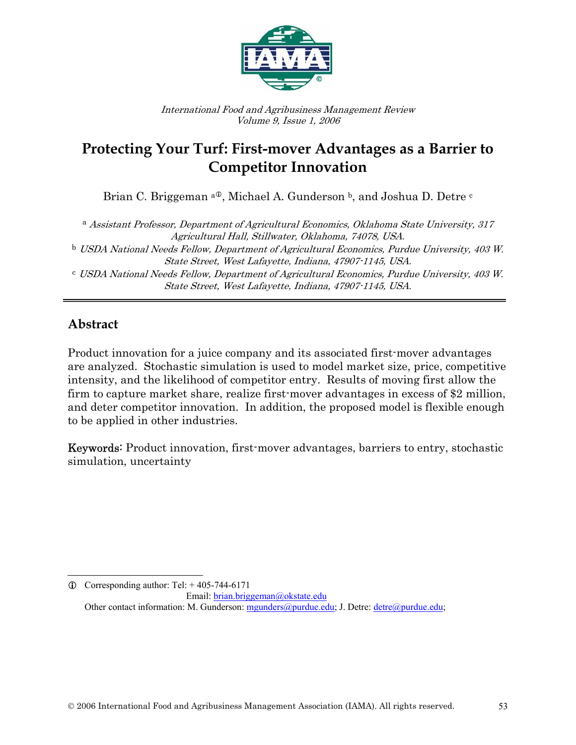

International Food and Agribusiness Management Review Volume 9, Issue 1, 2006

# **Protecting Your Turf: First-mover Advantages as a Barrier to Competitor Innovation**

Brian C. Briggeman  $a^{\text{0}}$ , Michael A. Gunderson  $b$ , and Joshua D. Detre  $c$ 

<sup>a</sup> Assistant Professor, Department of Agricultural Economics, Oklahoma State University, 317 Agricultural Hall, Stillwater, Oklahoma, 74078, USA. <sup>b</sup> USDA National Needs Fellow, Department of Agricultural Economics, Purdue University, 403 W. State Street, West Lafayette, Indiana, 47907-1145, USA. <sup>c</sup> USDA National Needs Fellow, Department of Agricultural Economics, Purdue University, 403 W. State Street, West Lafayette, Indiana, 47907-1145, USA.

## **Abstract**

Product innovation for a juice company and its associated first-mover advantages are analyzed. Stochastic simulation is used to model market size, price, competitive intensity, and the likelihood of competitor entry. Results of moving first allow the firm to capture market share, realize first-mover advantages in excess of \$2 million, and deter competitor innovation. In addition, the proposed model is flexible enough to be applied in other industries.

Keywords: Product innovation, first-mover advantages, barriers to entry, stochastic simulation, uncertainty

l  $Q$  Corresponding author: Tel:  $+405-744-6171$ 

Email: brian.briggeman@okstate.edu Other contact information: M. Gunderson: mgunders@purdue.edu; J. Detre: detre@purdue.edu;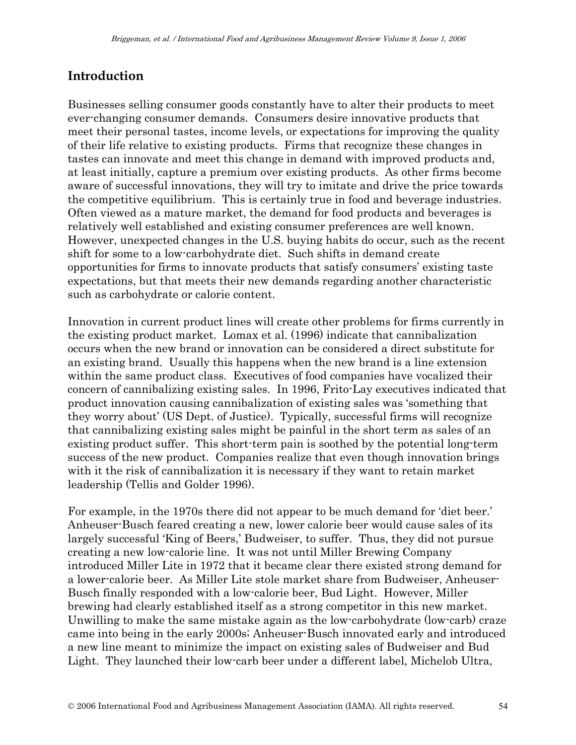### **Introduction**

Businesses selling consumer goods constantly have to alter their products to meet ever-changing consumer demands. Consumers desire innovative products that meet their personal tastes, income levels, or expectations for improving the quality of their life relative to existing products. Firms that recognize these changes in tastes can innovate and meet this change in demand with improved products and, at least initially, capture a premium over existing products. As other firms become aware of successful innovations, they will try to imitate and drive the price towards the competitive equilibrium. This is certainly true in food and beverage industries. Often viewed as a mature market, the demand for food products and beverages is relatively well established and existing consumer preferences are well known. However, unexpected changes in the U.S. buying habits do occur, such as the recent shift for some to a low-carbohydrate diet. Such shifts in demand create opportunities for firms to innovate products that satisfy consumers' existing taste expectations, but that meets their new demands regarding another characteristic such as carbohydrate or calorie content.

Innovation in current product lines will create other problems for firms currently in the existing product market. Lomax et al. (1996) indicate that cannibalization occurs when the new brand or innovation can be considered a direct substitute for an existing brand. Usually this happens when the new brand is a line extension within the same product class. Executives of food companies have vocalized their concern of cannibalizing existing sales. In 1996, Frito-Lay executives indicated that product innovation causing cannibalization of existing sales was 'something that they worry about' (US Dept. of Justice). Typically, successful firms will recognize that cannibalizing existing sales might be painful in the short term as sales of an existing product suffer. This short-term pain is soothed by the potential long-term success of the new product. Companies realize that even though innovation brings with it the risk of cannibalization it is necessary if they want to retain market leadership (Tellis and Golder 1996).

For example, in the 1970s there did not appear to be much demand for 'diet beer.' Anheuser-Busch feared creating a new, lower calorie beer would cause sales of its largely successful 'King of Beers,' Budweiser, to suffer. Thus, they did not pursue creating a new low-calorie line. It was not until Miller Brewing Company introduced Miller Lite in 1972 that it became clear there existed strong demand for a lower-calorie beer. As Miller Lite stole market share from Budweiser, Anheuser-Busch finally responded with a low-calorie beer, Bud Light. However, Miller brewing had clearly established itself as a strong competitor in this new market. Unwilling to make the same mistake again as the low-carbohydrate (low-carb) craze came into being in the early 2000s; Anheuser-Busch innovated early and introduced a new line meant to minimize the impact on existing sales of Budweiser and Bud Light. They launched their low-carb beer under a different label, Michelob Ultra,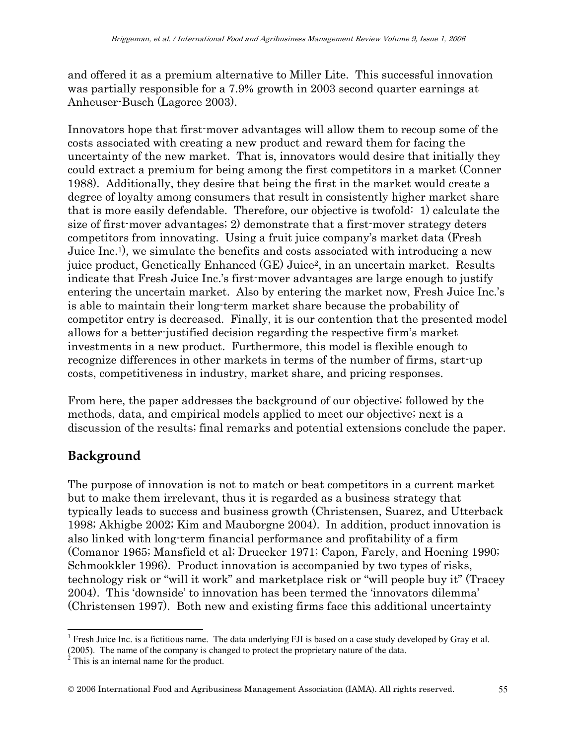and offered it as a premium alternative to Miller Lite. This successful innovation was partially responsible for a 7.9% growth in 2003 second quarter earnings at Anheuser-Busch (Lagorce 2003).

Innovators hope that first-mover advantages will allow them to recoup some of the costs associated with creating a new product and reward them for facing the uncertainty of the new market. That is, innovators would desire that initially they could extract a premium for being among the first competitors in a market (Conner 1988). Additionally, they desire that being the first in the market would create a degree of loyalty among consumers that result in consistently higher market share that is more easily defendable. Therefore, our objective is twofold: 1) calculate the size of first-mover advantages; 2) demonstrate that a first-mover strategy deters competitors from innovating. Using a fruit juice company's market data (Fresh Juice Inc.1), we simulate the benefits and costs associated with introducing a new juice product, Genetically Enhanced (GE) Juice2, in an uncertain market. Results indicate that Fresh Juice Inc.'s first-mover advantages are large enough to justify entering the uncertain market. Also by entering the market now, Fresh Juice Inc.'s is able to maintain their long-term market share because the probability of competitor entry is decreased. Finally, it is our contention that the presented model allows for a better-justified decision regarding the respective firm's market investments in a new product. Furthermore, this model is flexible enough to recognize differences in other markets in terms of the number of firms, start-up costs, competitiveness in industry, market share, and pricing responses.

From here, the paper addresses the background of our objective; followed by the methods, data, and empirical models applied to meet our objective; next is a discussion of the results; final remarks and potential extensions conclude the paper.

## **Background**

The purpose of innovation is not to match or beat competitors in a current market but to make them irrelevant, thus it is regarded as a business strategy that typically leads to success and business growth (Christensen, Suarez, and Utterback 1998; Akhigbe 2002; Kim and Mauborgne 2004). In addition, product innovation is also linked with long-term financial performance and profitability of a firm (Comanor 1965; Mansfield et al; Druecker 1971; Capon, Farely, and Hoening 1990; Schmookkler 1996). Product innovation is accompanied by two types of risks, technology risk or "will it work" and marketplace risk or "will people buy it" (Tracey 2004). This 'downside' to innovation has been termed the 'innovators dilemma' (Christensen 1997). Both new and existing firms face this additional uncertainty

 $\overline{a}$ <sup>1</sup> Fresh Juice Inc. is a fictitious name. The data underlying FJI is based on a case study developed by Gray et al.

<sup>(2005).</sup> The name of the company is changed to protect the proprietary nature of the data.  $2^2$  This is an internal name for the product.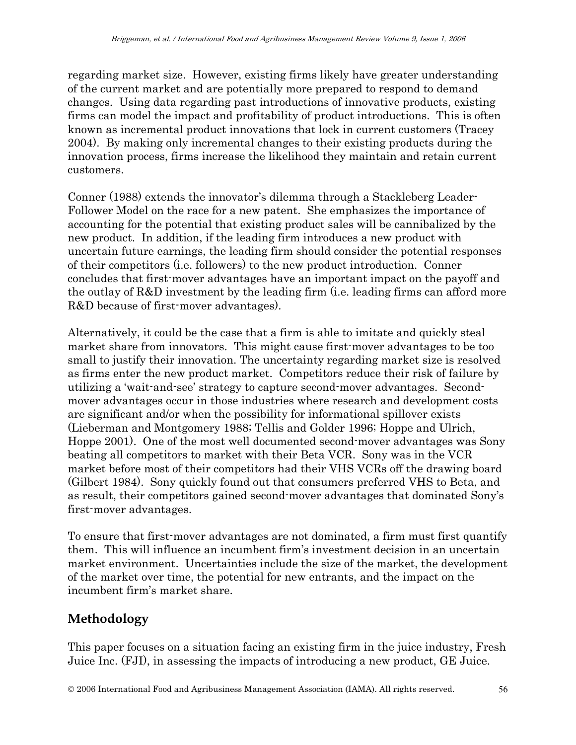regarding market size. However, existing firms likely have greater understanding of the current market and are potentially more prepared to respond to demand changes. Using data regarding past introductions of innovative products, existing firms can model the impact and profitability of product introductions. This is often known as incremental product innovations that lock in current customers (Tracey 2004). By making only incremental changes to their existing products during the innovation process, firms increase the likelihood they maintain and retain current customers.

Conner (1988) extends the innovator's dilemma through a Stackleberg Leader-Follower Model on the race for a new patent. She emphasizes the importance of accounting for the potential that existing product sales will be cannibalized by the new product. In addition, if the leading firm introduces a new product with uncertain future earnings, the leading firm should consider the potential responses of their competitors (i.e. followers) to the new product introduction. Conner concludes that first-mover advantages have an important impact on the payoff and the outlay of R&D investment by the leading firm (i.e. leading firms can afford more R&D because of first-mover advantages).

Alternatively, it could be the case that a firm is able to imitate and quickly steal market share from innovators. This might cause first-mover advantages to be too small to justify their innovation. The uncertainty regarding market size is resolved as firms enter the new product market. Competitors reduce their risk of failure by utilizing a 'wait-and-see' strategy to capture second-mover advantages. Secondmover advantages occur in those industries where research and development costs are significant and/or when the possibility for informational spillover exists (Lieberman and Montgomery 1988; Tellis and Golder 1996; Hoppe and Ulrich, Hoppe 2001). One of the most well documented second-mover advantages was Sony beating all competitors to market with their Beta VCR. Sony was in the VCR market before most of their competitors had their VHS VCRs off the drawing board (Gilbert 1984). Sony quickly found out that consumers preferred VHS to Beta, and as result, their competitors gained second-mover advantages that dominated Sony's first-mover advantages.

To ensure that first-mover advantages are not dominated, a firm must first quantify them. This will influence an incumbent firm's investment decision in an uncertain market environment. Uncertainties include the size of the market, the development of the market over time, the potential for new entrants, and the impact on the incumbent firm's market share.

## **Methodology**

This paper focuses on a situation facing an existing firm in the juice industry, Fresh Juice Inc. (FJI), in assessing the impacts of introducing a new product, GE Juice.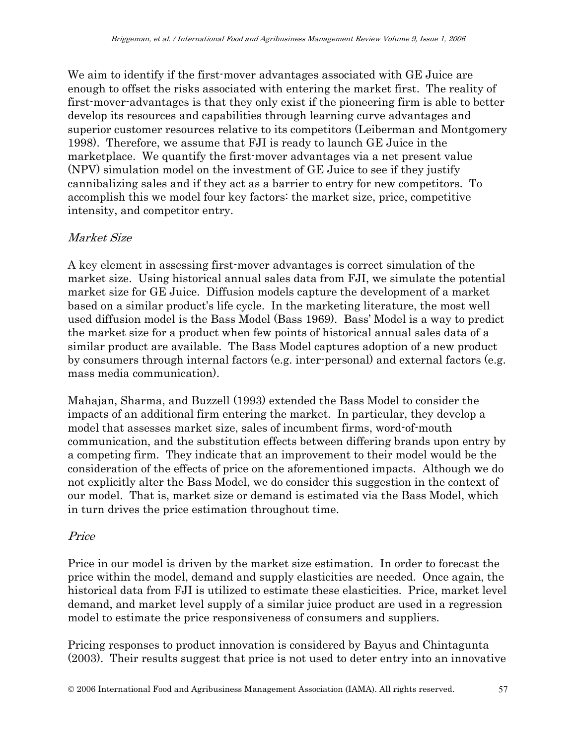We aim to identify if the first-mover advantages associated with GE Juice are enough to offset the risks associated with entering the market first. The reality of first-mover-advantages is that they only exist if the pioneering firm is able to better develop its resources and capabilities through learning curve advantages and superior customer resources relative to its competitors (Leiberman and Montgomery 1998). Therefore, we assume that FJI is ready to launch GE Juice in the marketplace. We quantify the first-mover advantages via a net present value (NPV) simulation model on the investment of GE Juice to see if they justify cannibalizing sales and if they act as a barrier to entry for new competitors. To accomplish this we model four key factors: the market size, price, competitive intensity, and competitor entry.

### Market Size

A key element in assessing first-mover advantages is correct simulation of the market size. Using historical annual sales data from FJI, we simulate the potential market size for GE Juice. Diffusion models capture the development of a market based on a similar product's life cycle. In the marketing literature, the most well used diffusion model is the Bass Model (Bass 1969). Bass' Model is a way to predict the market size for a product when few points of historical annual sales data of a similar product are available. The Bass Model captures adoption of a new product by consumers through internal factors (e.g. inter-personal) and external factors (e.g. mass media communication).

Mahajan, Sharma, and Buzzell (1993) extended the Bass Model to consider the impacts of an additional firm entering the market. In particular, they develop a model that assesses market size, sales of incumbent firms, word-of-mouth communication, and the substitution effects between differing brands upon entry by a competing firm. They indicate that an improvement to their model would be the consideration of the effects of price on the aforementioned impacts. Although we do not explicitly alter the Bass Model, we do consider this suggestion in the context of our model. That is, market size or demand is estimated via the Bass Model, which in turn drives the price estimation throughout time.

#### Price

Price in our model is driven by the market size estimation. In order to forecast the price within the model, demand and supply elasticities are needed. Once again, the historical data from FJI is utilized to estimate these elasticities. Price, market level demand, and market level supply of a similar juice product are used in a regression model to estimate the price responsiveness of consumers and suppliers.

Pricing responses to product innovation is considered by Bayus and Chintagunta (2003). Their results suggest that price is not used to deter entry into an innovative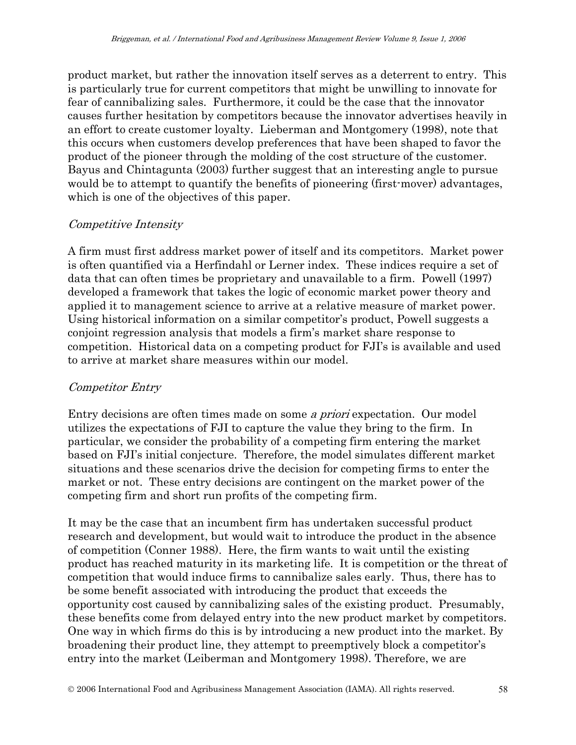product market, but rather the innovation itself serves as a deterrent to entry. This is particularly true for current competitors that might be unwilling to innovate for fear of cannibalizing sales. Furthermore, it could be the case that the innovator causes further hesitation by competitors because the innovator advertises heavily in an effort to create customer loyalty. Lieberman and Montgomery (1998), note that this occurs when customers develop preferences that have been shaped to favor the product of the pioneer through the molding of the cost structure of the customer. Bayus and Chintagunta (2003) further suggest that an interesting angle to pursue would be to attempt to quantify the benefits of pioneering (first-mover) advantages, which is one of the objectives of this paper.

### Competitive Intensity

A firm must first address market power of itself and its competitors. Market power is often quantified via a Herfindahl or Lerner index. These indices require a set of data that can often times be proprietary and unavailable to a firm. Powell (1997) developed a framework that takes the logic of economic market power theory and applied it to management science to arrive at a relative measure of market power. Using historical information on a similar competitor's product, Powell suggests a conjoint regression analysis that models a firm's market share response to competition. Historical data on a competing product for FJI's is available and used to arrive at market share measures within our model.

### Competitor Entry

Entry decisions are often times made on some a priori expectation. Our model utilizes the expectations of FJI to capture the value they bring to the firm. In particular, we consider the probability of a competing firm entering the market based on FJI's initial conjecture. Therefore, the model simulates different market situations and these scenarios drive the decision for competing firms to enter the market or not. These entry decisions are contingent on the market power of the competing firm and short run profits of the competing firm.

It may be the case that an incumbent firm has undertaken successful product research and development, but would wait to introduce the product in the absence of competition (Conner 1988). Here, the firm wants to wait until the existing product has reached maturity in its marketing life. It is competition or the threat of competition that would induce firms to cannibalize sales early. Thus, there has to be some benefit associated with introducing the product that exceeds the opportunity cost caused by cannibalizing sales of the existing product. Presumably, these benefits come from delayed entry into the new product market by competitors. One way in which firms do this is by introducing a new product into the market. By broadening their product line, they attempt to preemptively block a competitor's entry into the market (Leiberman and Montgomery 1998). Therefore, we are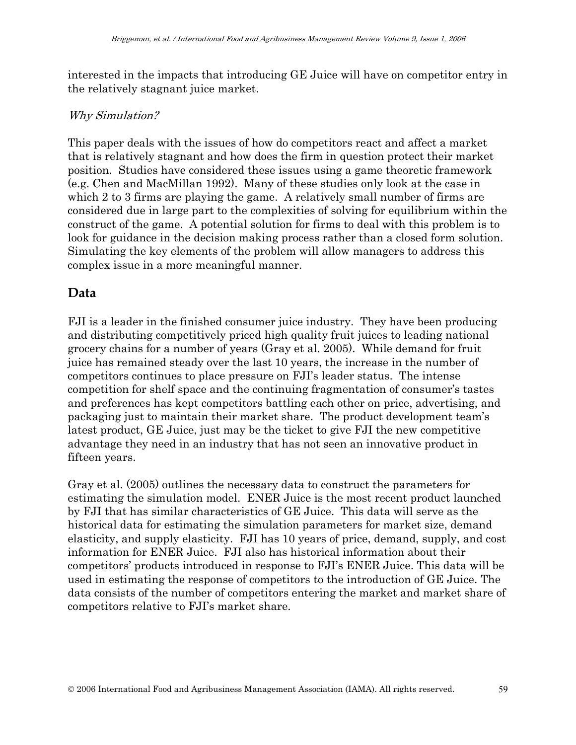interested in the impacts that introducing GE Juice will have on competitor entry in the relatively stagnant juice market.

#### Why Simulation?

This paper deals with the issues of how do competitors react and affect a market that is relatively stagnant and how does the firm in question protect their market position. Studies have considered these issues using a game theoretic framework (e.g. Chen and MacMillan 1992). Many of these studies only look at the case in which 2 to 3 firms are playing the game. A relatively small number of firms are considered due in large part to the complexities of solving for equilibrium within the construct of the game. A potential solution for firms to deal with this problem is to look for guidance in the decision making process rather than a closed form solution. Simulating the key elements of the problem will allow managers to address this complex issue in a more meaningful manner.

### **Data**

FJI is a leader in the finished consumer juice industry. They have been producing and distributing competitively priced high quality fruit juices to leading national grocery chains for a number of years (Gray et al. 2005). While demand for fruit juice has remained steady over the last 10 years, the increase in the number of competitors continues to place pressure on FJI's leader status. The intense competition for shelf space and the continuing fragmentation of consumer's tastes and preferences has kept competitors battling each other on price, advertising, and packaging just to maintain their market share. The product development team's latest product, GE Juice, just may be the ticket to give FJI the new competitive advantage they need in an industry that has not seen an innovative product in fifteen years.

Gray et al. (2005) outlines the necessary data to construct the parameters for estimating the simulation model. ENER Juice is the most recent product launched by FJI that has similar characteristics of GE Juice. This data will serve as the historical data for estimating the simulation parameters for market size, demand elasticity, and supply elasticity. FJI has 10 years of price, demand, supply, and cost information for ENER Juice. FJI also has historical information about their competitors' products introduced in response to FJI's ENER Juice. This data will be used in estimating the response of competitors to the introduction of GE Juice. The data consists of the number of competitors entering the market and market share of competitors relative to FJI's market share.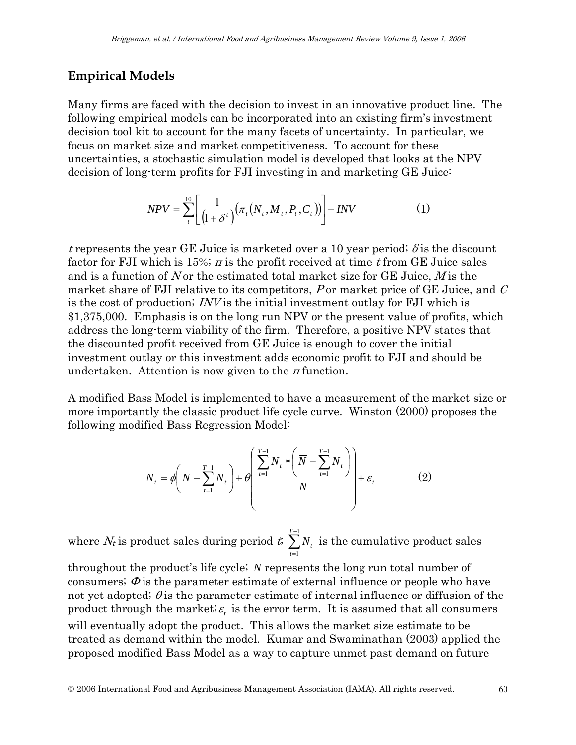### **Empirical Models**

Many firms are faced with the decision to invest in an innovative product line. The following empirical models can be incorporated into an existing firm's investment decision tool kit to account for the many facets of uncertainty. In particular, we focus on market size and market competitiveness. To account for these uncertainties, a stochastic simulation model is developed that looks at the NPV decision of long-term profits for FJI investing in and marketing GE Juice:

$$
NPV = \sum_{t}^{10} \left[ \frac{1}{(1 + \delta^{t})} (\pi_{t}(N_{t}, M_{t}, P_{t}, C_{t})) \right] - INV \tag{1}
$$

t represents the year GE Juice is marketed over a 10 year period;  $\delta$  is the discount factor for FJI which is 15%; *n* is the profit received at time t from GE Juice sales and is a function of N or the estimated total market size for GE Juice,  $M$  is the market share of FJI relative to its competitors,  $P$  or market price of GE Juice, and  $C$ is the cost of production; INV is the initial investment outlay for FJI which is \$1,375,000. Emphasis is on the long run NPV or the present value of profits, which address the long-term viability of the firm. Therefore, a positive NPV states that the discounted profit received from GE Juice is enough to cover the initial investment outlay or this investment adds economic profit to FJI and should be undertaken. Attention is now given to the  $\pi$  function.

A modified Bass Model is implemented to have a measurement of the market size or more importantly the classic product life cycle curve. Winston (2000) proposes the following modified Bass Regression Model:

$$
N_{t} = \phi \left( \overline{N} - \sum_{t=1}^{T-1} N_{t} \right) + \theta \left( \frac{\sum_{t=1}^{T-1} N_{t} * \left( \overline{N} - \sum_{t=1}^{T-1} N_{t} \right)}{\overline{N}} \right) + \varepsilon_{t}
$$
(2)

where  $N_t$  is product sales during period  $t$ ;  $\sum^{T-1}$ = 1 1 *T t*  $N_t$  is the cumulative product sales

throughout the product's life cycle;  $\overline{N}$  represents the long run total number of consumers;  $\Phi$  is the parameter estimate of external influence or people who have not yet adopted;  $\theta$  is the parameter estimate of internal influence or diffusion of the product through the market;  $\varepsilon$ , is the error term. It is assumed that all consumers will eventually adopt the product. This allows the market size estimate to be treated as demand within the model. Kumar and Swaminathan (2003) applied the proposed modified Bass Model as a way to capture unmet past demand on future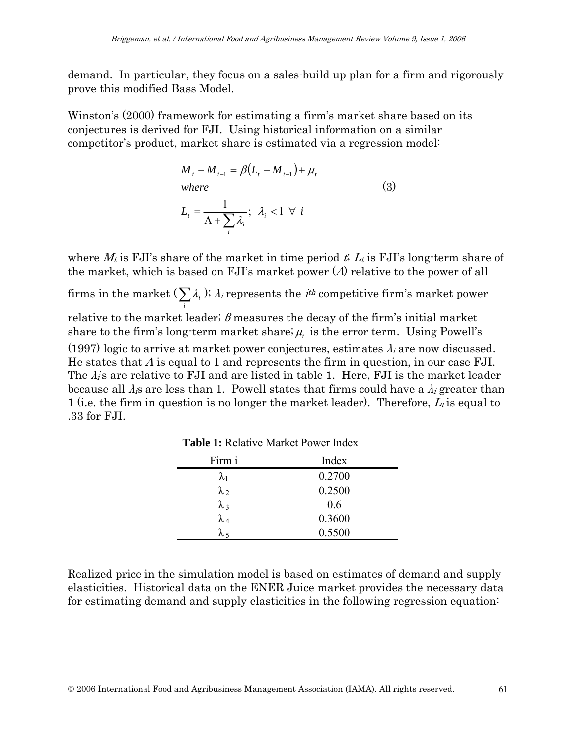demand. In particular, they focus on a sales-build up plan for a firm and rigorously prove this modified Bass Model.

Winston's (2000) framework for estimating a firm's market share based on its conjectures is derived for FJI. Using historical information on a similar competitor's product, market share is estimated via a regression model:

$$
M_{t} - M_{t-1} = \beta (L_{t} - M_{t-1}) + \mu_{t}
$$
  
where  

$$
L_{t} = \frac{1}{\Lambda + \sum_{i} \lambda_{i}}; \ \lambda_{i} < 1 \ \forall \ i
$$
 (3)

where  $M_t$  is FJI's share of the market in time period t,  $L_t$  is FJI's long-term share of the market, which is based on FJI's market power  $(\Lambda)$  relative to the power of all

firms in the market ( $\sum_{i}$  $\lambda_i$ );  $\lambda_i$  represents the *i<sup>th</sup>* competitive firm's market power relative to the market leader;  $\beta$  measures the decay of the firm's initial market share to the firm's long-term market share;  $\mu_t$  is the error term. Using Powell's (1997) logic to arrive at market power conjectures, estimates  $\lambda_i$  are now discussed. He states that  $\Lambda$  is equal to 1 and represents the firm in question, in our case FJI. The  $\lambda_i$ 's are relative to FJI and are listed in table 1. Here, FJI is the market leader

because all  $\lambda_i$ s are less than 1. Powell states that firms could have a  $\lambda_i$  greater than 1 (i.e. the firm in question is no longer the market leader). Therefore,  $L_t$  is equal to .33 for FJI.

| <b>Table 1: Relative Market Power Index</b> |        |  |  |  |  |  |  |
|---------------------------------------------|--------|--|--|--|--|--|--|
| Firm i<br>Index                             |        |  |  |  |  |  |  |
| $\lambda_1$                                 | 0.2700 |  |  |  |  |  |  |
| $\lambda_2$                                 | 0.2500 |  |  |  |  |  |  |
| $\lambda_3$                                 | 0.6    |  |  |  |  |  |  |
| $\lambda_4$                                 | 0.3600 |  |  |  |  |  |  |
| $\lambda$ 5                                 | 0.5500 |  |  |  |  |  |  |

Realized price in the simulation model is based on estimates of demand and supply elasticities. Historical data on the ENER Juice market provides the necessary data for estimating demand and supply elasticities in the following regression equation: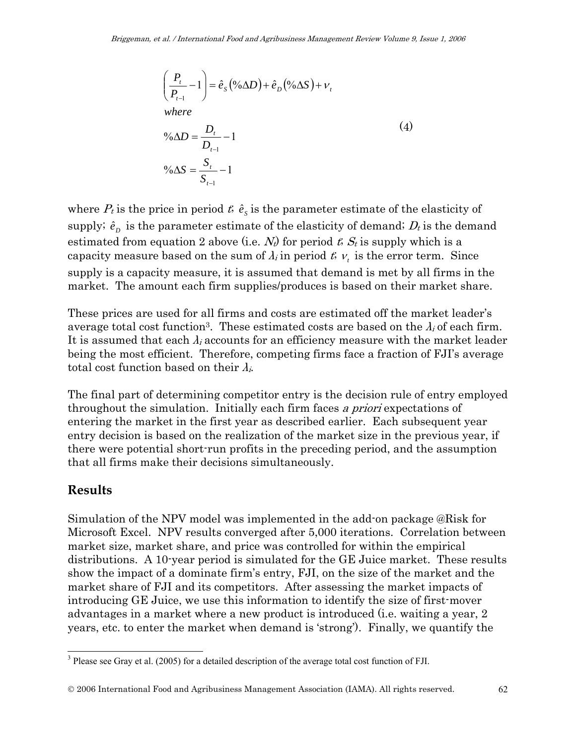$$
\left(\frac{P_t}{P_{t-1}} - 1\right) = \hat{e}_S \left(\frac{\partial \Delta D}{\partial P}\right) + \hat{e}_D \left(\frac{\partial \Delta S}{\partial P}\right) + \nu_t
$$
\nwhere\n
$$
\frac{\partial \Delta D}{\partial P_{t-1}} - 1
$$
\n
$$
\frac{\partial \Delta S}{\partial P_{t-1}} = \frac{S_t}{S_{t-1}} - 1
$$
\n
$$
\frac{\partial \Delta S}{\partial P_{t-1}} = \frac{1}{S_{t-1}}
$$
\n(4)

where  $P_t$  is the price in period  $t$ ,  $\hat{e}_s$  is the parameter estimate of the elasticity of supply;  $\hat{e}_p$  is the parameter estimate of the elasticity of demand;  $D_t$  is the demand estimated from equation 2 above (i.e.  $N_t$ ) for period t;  $S_t$  is supply which is a capacity measure based on the sum of  $\lambda_i$  in period  $t_i v_t$  is the error term. Since supply is a capacity measure, it is assumed that demand is met by all firms in the market. The amount each firm supplies/produces is based on their market share.

These prices are used for all firms and costs are estimated off the market leader's average total cost function<sup>3</sup>. These estimated costs are based on the  $\lambda_i$  of each firm. It is assumed that each  $\lambda_i$  accounts for an efficiency measure with the market leader being the most efficient. Therefore, competing firms face a fraction of FJI's average total cost function based on their  $\lambda_i$ .

The final part of determining competitor entry is the decision rule of entry employed throughout the simulation. Initially each firm faces a priori expectations of entering the market in the first year as described earlier. Each subsequent year entry decision is based on the realization of the market size in the previous year, if there were potential short-run profits in the preceding period, and the assumption that all firms make their decisions simultaneously.

### **Results**

 $\overline{a}$ 

Simulation of the NPV model was implemented in the add-on package @Risk for Microsoft Excel. NPV results converged after 5,000 iterations. Correlation between market size, market share, and price was controlled for within the empirical distributions. A 10-year period is simulated for the GE Juice market. These results show the impact of a dominate firm's entry, FJI, on the size of the market and the market share of FJI and its competitors. After assessing the market impacts of introducing GE Juice, we use this information to identify the size of first-mover advantages in a market where a new product is introduced (i.e. waiting a year, 2 years, etc. to enter the market when demand is 'strong'). Finally, we quantify the

 $3$  Please see Gray et al. (2005) for a detailed description of the average total cost function of FJI.

<sup>©</sup> 2006 International Food and Agribusiness Management Association (IAMA). All rights reserved. 62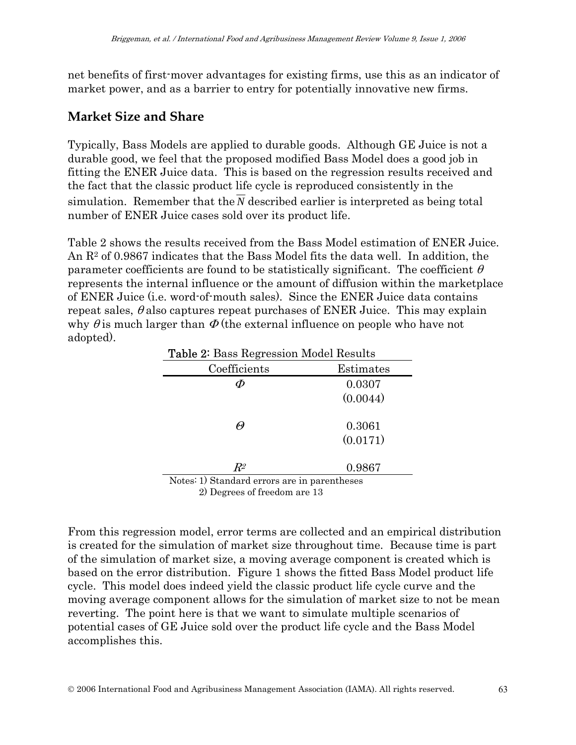net benefits of first-mover advantages for existing firms, use this as an indicator of market power, and as a barrier to entry for potentially innovative new firms.

### **Market Size and Share**

Typically, Bass Models are applied to durable goods. Although GE Juice is not a durable good, we feel that the proposed modified Bass Model does a good job in fitting the ENER Juice data. This is based on the regression results received and the fact that the classic product life cycle is reproduced consistently in the simulation. Remember that the *N* described earlier is interpreted as being total number of ENER Juice cases sold over its product life.

Table 2 shows the results received from the Bass Model estimation of ENER Juice. An  $\mathbb{R}^2$  of 0.9867 indicates that the Bass Model fits the data well. In addition, the parameter coefficients are found to be statistically significant. The coefficient  $\theta$ represents the internal influence or the amount of diffusion within the marketplace of ENER Juice (i.e. word-of-mouth sales). Since the ENER Juice data contains repeat sales,  $\theta$  also captures repeat purchases of ENER Juice. This may explain why  $\theta$  is much larger than  $\Phi$  (the external influence on people who have not adopted).

| <b>Table 2:</b> Bass Regression Model Results |           |  |  |  |  |  |  |
|-----------------------------------------------|-----------|--|--|--|--|--|--|
| Coefficients                                  | Estimates |  |  |  |  |  |  |
|                                               | 0.0307    |  |  |  |  |  |  |
|                                               | (0.0044)  |  |  |  |  |  |  |
|                                               | 0.3061    |  |  |  |  |  |  |
|                                               | (0.0171)  |  |  |  |  |  |  |
| $R^2$                                         | 0.9867    |  |  |  |  |  |  |
| Notes: 1) Standard errors are in parentheses  |           |  |  |  |  |  |  |

2) Degrees of freedom are 13

From this regression model, error terms are collected and an empirical distribution is created for the simulation of market size throughout time. Because time is part of the simulation of market size, a moving average component is created which is based on the error distribution. Figure 1 shows the fitted Bass Model product life cycle. This model does indeed yield the classic product life cycle curve and the moving average component allows for the simulation of market size to not be mean reverting. The point here is that we want to simulate multiple scenarios of potential cases of GE Juice sold over the product life cycle and the Bass Model accomplishes this.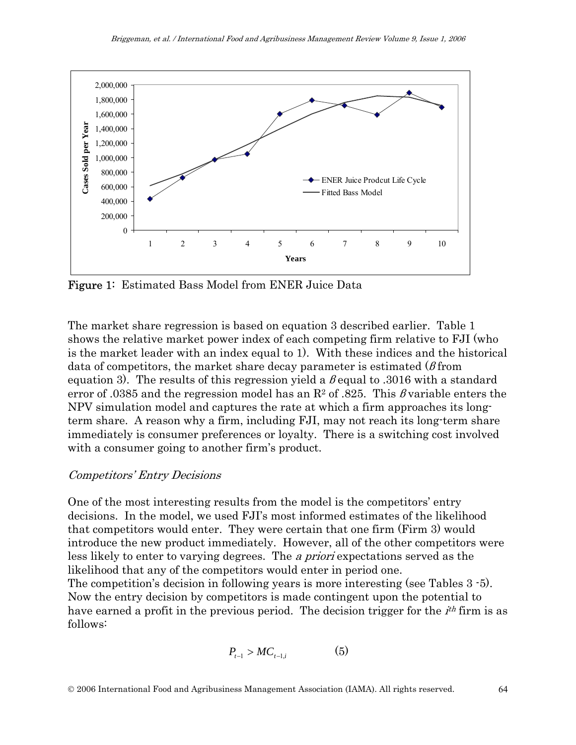

Figure 1: Estimated Bass Model from ENER Juice Data

The market share regression is based on equation 3 described earlier. Table 1 shows the relative market power index of each competing firm relative to FJI (who is the market leader with an index equal to 1). With these indices and the historical data of competitors, the market share decay parameter is estimated  $(\beta$  from equation 3). The results of this regression yield a  $\beta$  equal to .3016 with a standard error of .0385 and the regression model has an  $R^2$  of .825. This *β* variable enters the NPV simulation model and captures the rate at which a firm approaches its longterm share. A reason why a firm, including FJI, may not reach its long-term share immediately is consumer preferences or loyalty. There is a switching cost involved with a consumer going to another firm's product.

#### Competitors' Entry Decisions

One of the most interesting results from the model is the competitors' entry decisions. In the model, we used FJI's most informed estimates of the likelihood that competitors would enter. They were certain that one firm (Firm 3) would introduce the new product immediately. However, all of the other competitors were less likely to enter to varying degrees. The a priori expectations served as the likelihood that any of the competitors would enter in period one.

The competition's decision in following years is more interesting (see Tables 3 -5). Now the entry decision by competitors is made contingent upon the potential to have earned a profit in the previous period. The decision trigger for the *i*<sup>th</sup> firm is as follows:

$$
P_{t-1} > MC_{t-1,i} \tag{5}
$$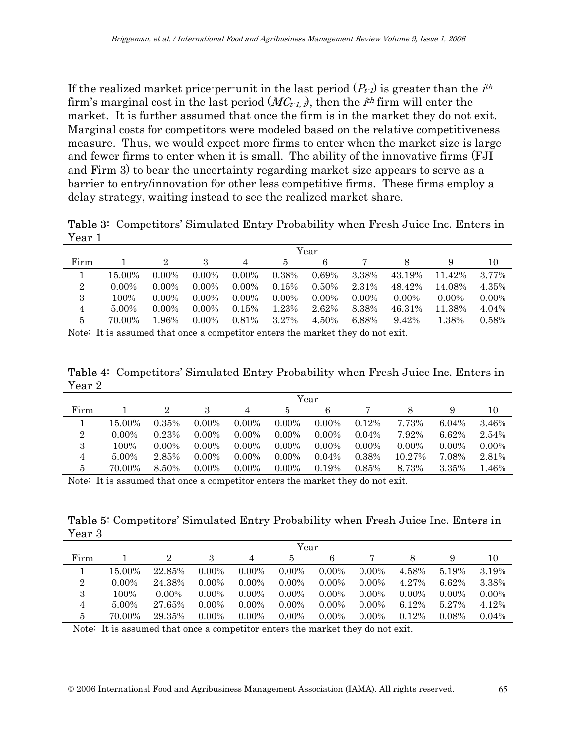If the realized market price-per-unit in the last period  $(P_t)_t$  is greater than the  $i^{th}$ firm's marginal cost in the last period  $(MC_{t-1})$ , then the *i*<sup>th</sup> firm will enter the market. It is further assumed that once the firm is in the market they do not exit. Marginal costs for competitors were modeled based on the relative competitiveness measure. Thus, we would expect more firms to enter when the market size is large and fewer firms to enter when it is small. The ability of the innovative firms (FJI and Firm 3) to bear the uncertainty regarding market size appears to serve as a barrier to entry/innovation for other less competitive firms. These firms employ a delay strategy, waiting instead to see the realized market share.

Table 3: Competitors' Simulated Entry Probability when Fresh Juice Inc. Enters in Year 1

|                | Year     |          |          |          |          |          |          |          |          |          |
|----------------|----------|----------|----------|----------|----------|----------|----------|----------|----------|----------|
| Firm           |          |          |          |          |          | 6        |          |          |          | 10       |
|                | 15.00%   | $0.00\%$ | $0.00\%$ | $0.00\%$ | 0.38%    | 0.69%    | 3.38%    | 43.19%   | 11.42%   | 3.77%    |
| $\overline{2}$ | $0.00\%$ | $0.00\%$ | $0.00\%$ | $0.00\%$ | 0.15%    | 0.50%    | 2.31%    | 48.42%   | 14.08%   | 4.35%    |
| 3              | 100%     | $0.00\%$ | $0.00\%$ | $0.00\%$ | $0.00\%$ | $0.00\%$ | $0.00\%$ | $0.00\%$ | $0.00\%$ | $0.00\%$ |
| 4              | 5.00%    | $0.00\%$ | $0.00\%$ | 0.15%    | 1.23%    | 2.62%    | 8.38%    | 46.31%   | 11.38%   | 4.04%    |
| 5              | 70.00%   | .96%     | $0.00\%$ | 0.81%    | 3.27%    | 4.50%    | 6.88%    | 9.42%    | 1.38%    | 0.58%    |

Note: It is assumed that once a competitor enters the market they do not exit.

Table 4: Competitors' Simulated Entry Probability when Fresh Juice Inc. Enters in Year 2

|      | Year     |          |          |          |          |          |          |          |          |          |
|------|----------|----------|----------|----------|----------|----------|----------|----------|----------|----------|
| Firm |          |          |          | 4        | 5        | 6        |          |          |          | 10       |
|      | 15.00%   | 0.35%    | $0.00\%$ | $0.00\%$ | $0.00\%$ | $0.00\%$ | 0.12%    | 7.73%    | 6.04%    | 3.46%    |
| 2    | $0.00\%$ | 0.23%    | $0.00\%$ | $0.00\%$ | $0.00\%$ | $0.00\%$ | 0.04%    | 7.92%    | 6.62%    | 2.54%    |
| 3    | 100%     | $0.00\%$ | $0.00\%$ | $0.00\%$ | $0.00\%$ | $0.00\%$ | $0.00\%$ | $0.00\%$ | $0.00\%$ | $0.00\%$ |
| 4    | 5.00%    | 2.85%    | $0.00\%$ | $0.00\%$ | $0.00\%$ | $0.04\%$ | 0.38%    | 10.27%   | 7.08%    | 2.81%    |
| 5    | 70.00%   | 8.50%    | $0.00\%$ | $0.00\%$ | $0.00\%$ | 0.19%    | 0.85%    | 8.73%    | 3.35%    | 1.46%    |

Note: It is assumed that once a competitor enters the market they do not exit.

Table 5: Competitors' Simulated Entry Probability when Fresh Juice Inc. Enters in Year 3

|      | Year     |          |          |          |          |          |          |          |          |          |
|------|----------|----------|----------|----------|----------|----------|----------|----------|----------|----------|
| Firm |          | 2        |          |          | 5        | 6        |          |          |          | 10       |
|      | 15.00%   | 22.85%   | $0.00\%$ | $0.00\%$ | $0.00\%$ | $0.00\%$ | $0.00\%$ | 4.58%    | 5.19%    | 3.19%    |
| 2    | $0.00\%$ | 24.38%   | $0.00\%$ | $0.00\%$ | $0.00\%$ | $0.00\%$ | $0.00\%$ | 4.27%    | 6.62%    | 3.38%    |
| 3    | 100%     | $0.00\%$ | $0.00\%$ | $0.00\%$ | $0.00\%$ | $0.00\%$ | $0.00\%$ | $0.00\%$ | $0.00\%$ | $0.00\%$ |
| 4    | 5.00%    | 27.65%   | $0.00\%$ | $0.00\%$ | $0.00\%$ | $0.00\%$ | $0.00\%$ | 6.12%    | 5.27%    | 4.12%    |
| 5    | 70.00%   | 29.35%   | $0.00\%$ | $0.00\%$ | $0.00\%$ | $0.00\%$ | $0.00\%$ | 0.12%    | 0.08%    | 0.04%    |

Note: It is assumed that once a competitor enters the market they do not exit.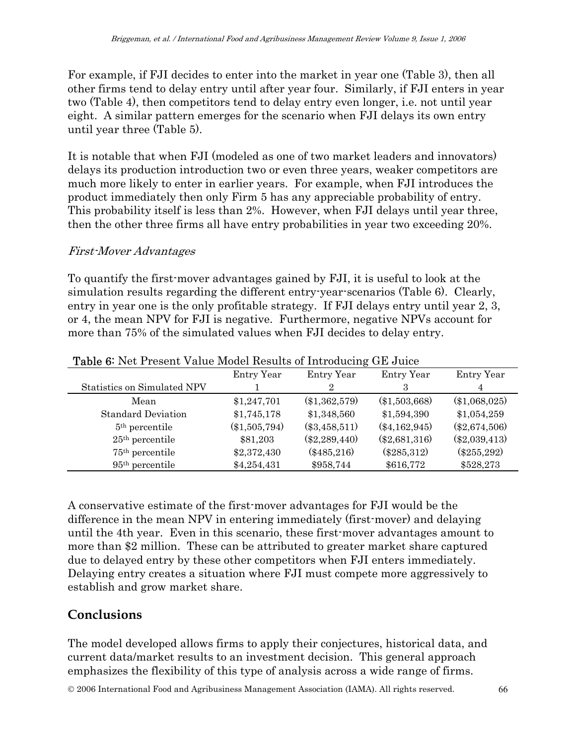For example, if FJI decides to enter into the market in year one (Table 3), then all other firms tend to delay entry until after year four. Similarly, if FJI enters in year two (Table 4), then competitors tend to delay entry even longer, i.e. not until year eight. A similar pattern emerges for the scenario when FJI delays its own entry until year three (Table 5).

It is notable that when FJI (modeled as one of two market leaders and innovators) delays its production introduction two or even three years, weaker competitors are much more likely to enter in earlier years. For example, when FJI introduces the product immediately then only Firm 5 has any appreciable probability of entry. This probability itself is less than 2%. However, when FJI delays until year three, then the other three firms all have entry probabilities in year two exceeding 20%.

#### First-Mover Advantages

To quantify the first-mover advantages gained by FJI, it is useful to look at the simulation results regarding the different entry-year-scenarios (Table 6). Clearly, entry in year one is the only profitable strategy. If FJI delays entry until year 2, 3, or 4, the mean NPV for FJI is negative. Furthermore, negative NPVs account for more than 75% of the simulated values when FJI decides to delay entry.

|                             | Entry Year      | Entry Year      | Entry Year      | Entry Year      |
|-----------------------------|-----------------|-----------------|-----------------|-----------------|
| Statistics on Simulated NPV |                 | 2               | З               | 4               |
| Mean                        | \$1,247,701     | $(\$1,362,579)$ | $(\$1,503,668)$ | $(\$1,068,025)$ |
| <b>Standard Deviation</b>   | \$1,745,178     | \$1,348,560     | \$1,594,390     | \$1,054,259     |
| $5th$ percentile            | $(\$1,505,794)$ | $(\$3,458,511)$ | $(\$4,162,945)$ | $(\$2,674,506)$ |
| $25th$ percentile           | \$81,203        | $(\$2,289,440)$ | $(\$2,681,316)$ | $(\$2,039,413)$ |
| $75th$ percentile           | \$2,372,430     | $(\$485,216)$   | $(\$285,312)$   | $(\$255,292)$   |
| 95 <sup>th</sup> percentile | \$4,254,431     | \$958,744       | \$616,772       | \$528,273       |

#### Table 6: Net Present Value Model Results of Introducing GE Juice

A conservative estimate of the first-mover advantages for FJI would be the difference in the mean NPV in entering immediately (first-mover) and delaying until the 4th year. Even in this scenario, these first-mover advantages amount to more than \$2 million. These can be attributed to greater market share captured due to delayed entry by these other competitors when FJI enters immediately. Delaying entry creates a situation where FJI must compete more aggressively to establish and grow market share.

### **Conclusions**

The model developed allows firms to apply their conjectures, historical data, and current data/market results to an investment decision. This general approach emphasizes the flexibility of this type of analysis across a wide range of firms.

© 2006 International Food and Agribusiness Management Association (IAMA). All rights reserved. 66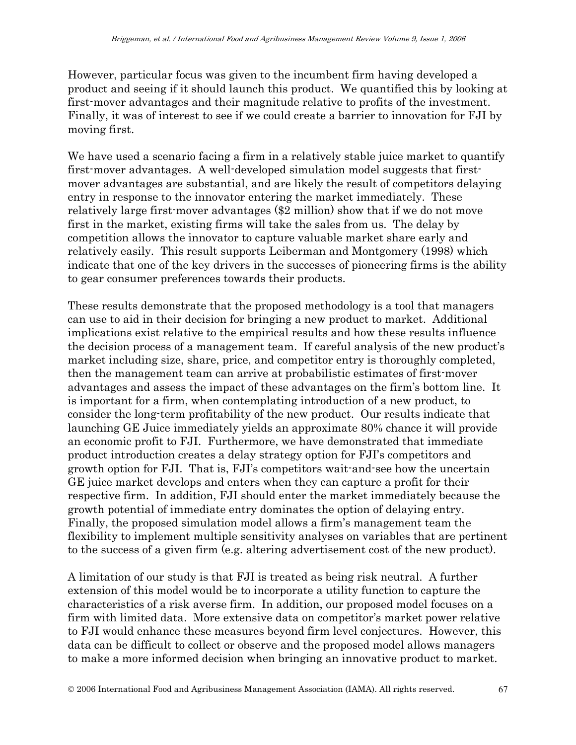However, particular focus was given to the incumbent firm having developed a product and seeing if it should launch this product. We quantified this by looking at first-mover advantages and their magnitude relative to profits of the investment. Finally, it was of interest to see if we could create a barrier to innovation for FJI by moving first.

We have used a scenario facing a firm in a relatively stable juice market to quantify first-mover advantages. A well-developed simulation model suggests that firstmover advantages are substantial, and are likely the result of competitors delaying entry in response to the innovator entering the market immediately. These relatively large first-mover advantages (\$2 million) show that if we do not move first in the market, existing firms will take the sales from us. The delay by competition allows the innovator to capture valuable market share early and relatively easily. This result supports Leiberman and Montgomery (1998) which indicate that one of the key drivers in the successes of pioneering firms is the ability to gear consumer preferences towards their products.

These results demonstrate that the proposed methodology is a tool that managers can use to aid in their decision for bringing a new product to market. Additional implications exist relative to the empirical results and how these results influence the decision process of a management team. If careful analysis of the new product's market including size, share, price, and competitor entry is thoroughly completed, then the management team can arrive at probabilistic estimates of first-mover advantages and assess the impact of these advantages on the firm's bottom line. It is important for a firm, when contemplating introduction of a new product, to consider the long-term profitability of the new product. Our results indicate that launching GE Juice immediately yields an approximate 80% chance it will provide an economic profit to FJI. Furthermore, we have demonstrated that immediate product introduction creates a delay strategy option for FJI's competitors and growth option for FJI. That is, FJI's competitors wait-and-see how the uncertain GE juice market develops and enters when they can capture a profit for their respective firm. In addition, FJI should enter the market immediately because the growth potential of immediate entry dominates the option of delaying entry. Finally, the proposed simulation model allows a firm's management team the flexibility to implement multiple sensitivity analyses on variables that are pertinent to the success of a given firm (e.g. altering advertisement cost of the new product).

A limitation of our study is that FJI is treated as being risk neutral. A further extension of this model would be to incorporate a utility function to capture the characteristics of a risk averse firm. In addition, our proposed model focuses on a firm with limited data. More extensive data on competitor's market power relative to FJI would enhance these measures beyond firm level conjectures. However, this data can be difficult to collect or observe and the proposed model allows managers to make a more informed decision when bringing an innovative product to market.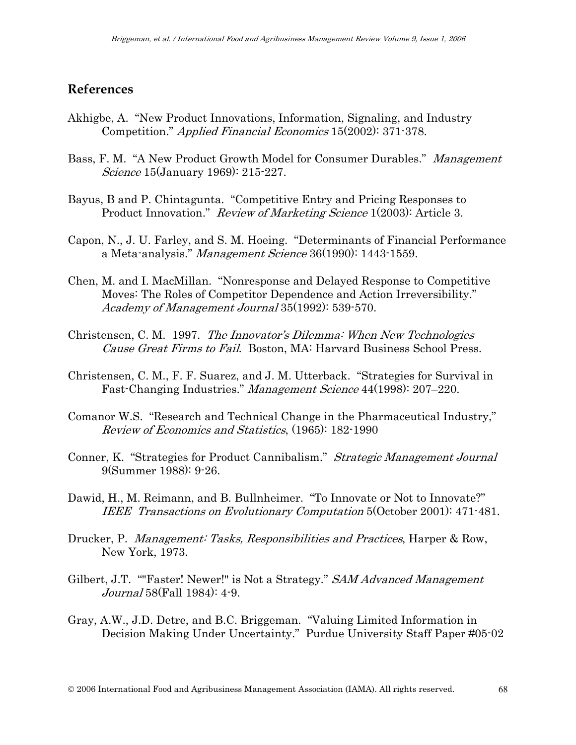### **References**

- Akhigbe, A. "New Product Innovations, Information, Signaling, and Industry Competition." Applied Financial Economics 15(2002): 371-378.
- Bass, F. M. "A New Product Growth Model for Consumer Durables." Management Science 15 (January 1969): 215-227.
- Bayus, B and P. Chintagunta. "Competitive Entry and Pricing Responses to Product Innovation." Review of Marketing Science 1(2003): Article 3.
- Capon, N., J. U. Farley, and S. M. Hoeing. "Determinants of Financial Performance a Meta-analysis." *Management Science* 36(1990): 1443-1559.
- Chen, M. and I. MacMillan. "Nonresponse and Delayed Response to Competitive Moves: The Roles of Competitor Dependence and Action Irreversibility." Academy of Management Journal 35(1992): 539-570.
- Christensen, C. M. 1997. The Innovator's Dilemma: When New Technologies Cause Great Firms to Fail. Boston, MA: Harvard Business School Press.
- Christensen, C. M., F. F. Suarez, and J. M. Utterback. "Strategies for Survival in Fast-Changing Industries." Management Science 44(1998): 207–220.
- Comanor W.S. "Research and Technical Change in the Pharmaceutical Industry," Review of Economics and Statistics, (1965): 182-1990
- Conner, K. "Strategies for Product Cannibalism." Strategic Management Journal 9(Summer 1988): 9-26.
- Dawid, H., M. Reimann, and B. Bullnheimer. "To Innovate or Not to Innovate?" IEEE Transactions on Evolutionary Computation 5(October 2001): 471-481.
- Drucker, P. Management: Tasks, Responsibilities and Practices, Harper & Row, New York, 1973.
- Gilbert, J.T. ""Faster! Newer!" is Not a Strategy." SAM Advanced Management Journal 58(Fall 1984): 4-9.
- Gray, A.W., J.D. Detre, and B.C. Briggeman. "Valuing Limited Information in Decision Making Under Uncertainty." Purdue University Staff Paper #05-02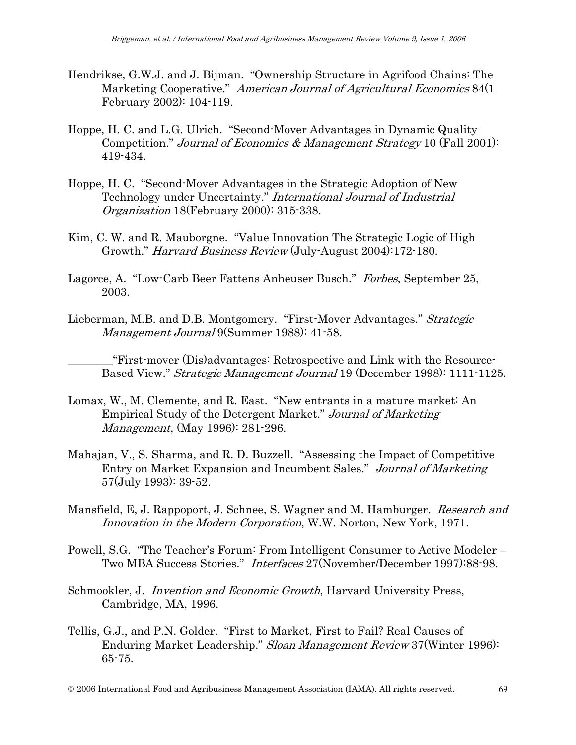- Hendrikse, G.W.J. and J. Bijman. "Ownership Structure in Agrifood Chains: The Marketing Cooperative." American Journal of Agricultural Economics 84(1) February 2002): 104-119.
- Hoppe, H. C. and L.G. Ulrich. "Second-Mover Advantages in Dynamic Quality Competition." Journal of Economics & Management Strategy 10 (Fall 2001): 419-434.
- Hoppe, H. C. "Second-Mover Advantages in the Strategic Adoption of New Technology under Uncertainty." International Journal of Industrial Organization 18(February 2000): 315-338.
- Kim, C. W. and R. Mauborgne. "Value Innovation The Strategic Logic of High Growth." *Harvard Business Review* (July-August 2004):172-180.
- Lagorce, A. "Low-Carb Beer Fattens Anheuser Busch." Forbes, September 25, 2003.
- Lieberman, M.B. and D.B. Montgomery. "First-Mover Advantages." *Strategic* Management Journal 9(Summer 1988): 41-58.

\_\_\_\_\_\_\_\_"First-mover (Dis)advantages: Retrospective and Link with the Resource-Based View." Strategic Management Journal 19 (December 1998): 1111-1125.

- Lomax, W., M. Clemente, and R. East. "New entrants in a mature market: An Empirical Study of the Detergent Market." Journal of Marketing Management, (May 1996): 281-296.
- Mahajan, V., S. Sharma, and R. D. Buzzell. "Assessing the Impact of Competitive Entry on Market Expansion and Incumbent Sales." Journal of Marketing 57(July 1993): 39-52.
- Mansfield, E, J. Rappoport, J. Schnee, S. Wagner and M. Hamburger. *Research and* Innovation in the Modern Corporation, W.W. Norton, New York, 1971.
- Powell, S.G. "The Teacher's Forum: From Intelligent Consumer to Active Modeler Two MBA Success Stories." Interfaces 27(November/December 1997):88-98.
- Schmookler, J. *Invention and Economic Growth*, Harvard University Press, Cambridge, MA, 1996.
- Tellis, G.J., and P.N. Golder. "First to Market, First to Fail? Real Causes of Enduring Market Leadership." Sloan Management Review 37(Winter 1996): 65-75.

© 2006 International Food and Agribusiness Management Association (IAMA). All rights reserved. 69